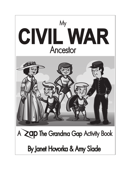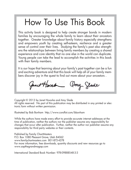## How To Use This Book

This activity book is designed to help create stronger bonds in modern families by encouraging the whole family to learn about their ancestors together. Greater knowledge about family history especially strengthens and empowers youth by creating self-esteem, resilience and a greater sense of control over their lives. Studying the family's past also strengthens the relationships between living family members by creating a shared experience and core identity that no one else in the world can duplicate. Young people can take the lead to accomplish the activities in this book with their family members.

It is our hope that learning about your family's past together can be a fun and exciting adventure and that this book will help all of your family members discover joy in the quest to find out more about your ancestors .

Janet Hornbe Amy Glade

Copyright © 2013 by Janet Hovorka and Amy Slade All rights reserved. No part of this publication may be distributed in any printed or electronic form without written permission.

Illustrated by Bob Bonham http://www.coroflot.com/bbonham

While the authors have made every effort to provide accurate internet addresses at the time of publication, neither the authors nor the publisher assume any responsibility for changes that occur after publication. Further, neither the author nor publisher assume any responsibility for third party websites or their contents.

Published by Family ChartMasters P.O. Box 1080 Pleasant Grove, Utah 84062 www.familychartmasters.com 801-872-4278 For more information, free downloads, quantity discounts and new resources go to www.zapthegrandmagap.com

International Standard Book Number: 978-09888548-3-3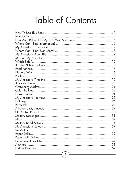## **Table of Contents**

| <b>Introduction</b> |    |
|---------------------|----|
|                     |    |
|                     |    |
|                     |    |
|                     |    |
|                     |    |
|                     |    |
|                     |    |
|                     |    |
|                     |    |
|                     |    |
|                     |    |
|                     |    |
|                     |    |
|                     |    |
|                     |    |
|                     |    |
|                     |    |
|                     |    |
|                     |    |
|                     |    |
|                     |    |
|                     |    |
|                     |    |
|                     | 34 |
|                     | 37 |
|                     |    |
|                     |    |
|                     |    |
|                     |    |
|                     |    |
|                     |    |